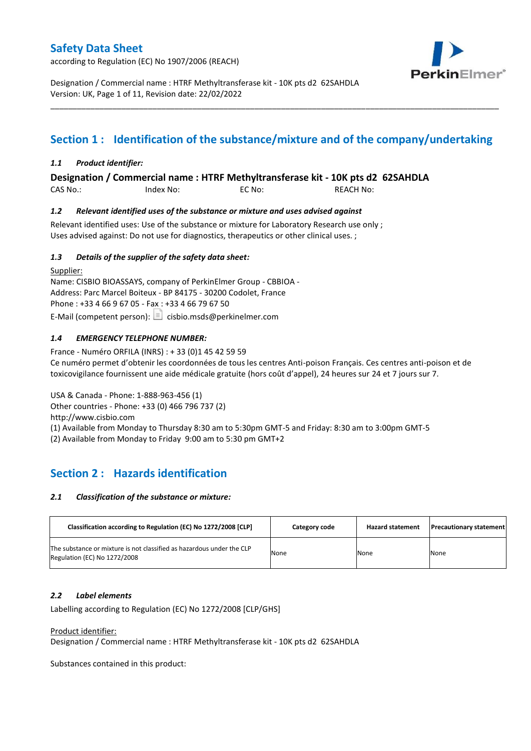according to Regulation (EC) No 1907/2006 (REACH)



Designation / Commercial name : HTRF Methyltransferase kit - 10K pts d2 62SAHDLA Version: UK, Page 1 of 11, Revision date: 22/02/2022

# **Section 1 : Identification of the substance/mixture and of the company/undertaking**

\_\_\_\_\_\_\_\_\_\_\_\_\_\_\_\_\_\_\_\_\_\_\_\_\_\_\_\_\_\_\_\_\_\_\_\_\_\_\_\_\_\_\_\_\_\_\_\_\_\_\_\_\_\_\_\_\_\_\_\_\_\_\_\_\_\_\_\_\_\_\_\_\_\_\_\_\_\_\_\_\_\_\_\_\_\_\_\_\_\_\_\_\_\_\_\_\_\_\_\_\_

### *1.1 Product identifier:*

### **Designation / Commercial name : HTRF Methyltransferase kit - 10K pts d2 62SAHDLA**

CAS No.: Index No: EC No: REACH No:

### *1.2 Relevant identified uses of the substance or mixture and uses advised against*

Relevant identified uses: Use of the substance or mixture for Laboratory Research use only ; Uses advised against: Do not use for diagnostics, therapeutics or other clinical uses. ;

### *1.3 Details of the supplier of the safety data sheet:*

Supplier: Name: CISBIO BIOASSAYS, company of PerkinElmer Group - CBBIOA - Address: Parc Marcel Boiteux - BP 84175 - 30200 Codolet, France Phone : +33 4 66 9 67 05 - Fax : +33 4 66 79 67 50 E-Mail (competent person):  $\boxed{\equiv}$  cisbio.msds@perkinelmer.com

### *1.4 EMERGENCY TELEPHONE NUMBER:*

France - Numéro ORFILA (INRS) : + 33 (0)1 45 42 59 59 Ce numéro permet d'obtenir les coordonnées de tous les centres Anti-poison Français. Ces centres anti-poison et de toxicovigilance fournissent une aide médicale gratuite (hors coût d'appel), 24 heures sur 24 et 7 jours sur 7.

USA & Canada - Phone: 1-888-963-456 (1)

Other countries - Phone: +33 (0) 466 796 737 (2)

http://www.cisbio.com

(1) Available from Monday to Thursday 8:30 am to 5:30pm GMT-5 and Friday: 8:30 am to 3:00pm GMT-5

(2) Available from Monday to Friday 9:00 am to 5:30 pm GMT+2

## **Section 2 : Hazards identification**

#### *2.1 Classification of the substance or mixture:*

| Classification according to Regulation (EC) No 1272/2008 [CLP]                                        | Category code | <b>Hazard statement</b> | <b>Precautionary statement</b> |
|-------------------------------------------------------------------------------------------------------|---------------|-------------------------|--------------------------------|
| The substance or mixture is not classified as hazardous under the CLP<br>Regulation (EC) No 1272/2008 | None          | None                    | None                           |

#### *2.2 Label elements*

Labelling according to Regulation (EC) No 1272/2008 [CLP/GHS]

#### Product identifier:

Designation / Commercial name : HTRF Methyltransferase kit - 10K pts d2 62SAHDLA

Substances contained in this product: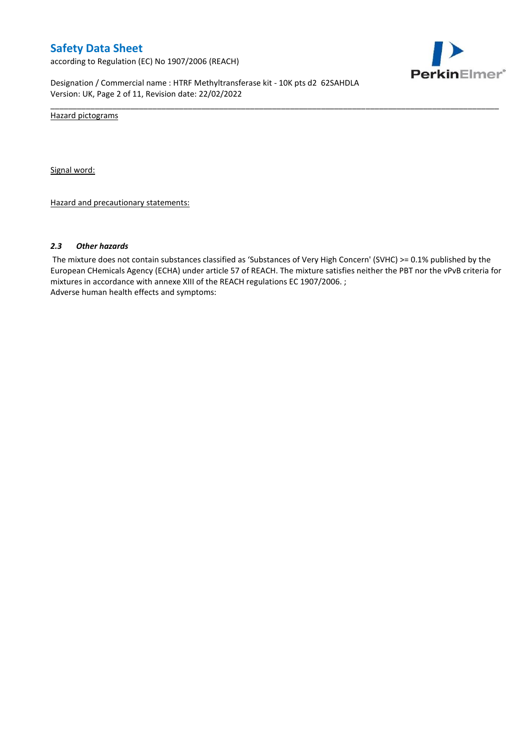according to Regulation (EC) No 1907/2006 (REACH)



Designation / Commercial name : HTRF Methyltransferase kit - 10K pts d2 62SAHDLA Version: UK, Page 2 of 11, Revision date: 22/02/2022

Hazard pictograms

Signal word:

Hazard and precautionary statements:

#### *2.3 Other hazards*

The mixture does not contain substances classified as 'Substances of Very High Concern' (SVHC) >= 0.1% published by the European CHemicals Agency (ECHA) under article 57 of REACH. The mixture satisfies neither the PBT nor the vPvB criteria for mixtures in accordance with annexe XIII of the REACH regulations EC 1907/2006. ; Adverse human health effects and symptoms:

\_\_\_\_\_\_\_\_\_\_\_\_\_\_\_\_\_\_\_\_\_\_\_\_\_\_\_\_\_\_\_\_\_\_\_\_\_\_\_\_\_\_\_\_\_\_\_\_\_\_\_\_\_\_\_\_\_\_\_\_\_\_\_\_\_\_\_\_\_\_\_\_\_\_\_\_\_\_\_\_\_\_\_\_\_\_\_\_\_\_\_\_\_\_\_\_\_\_\_\_\_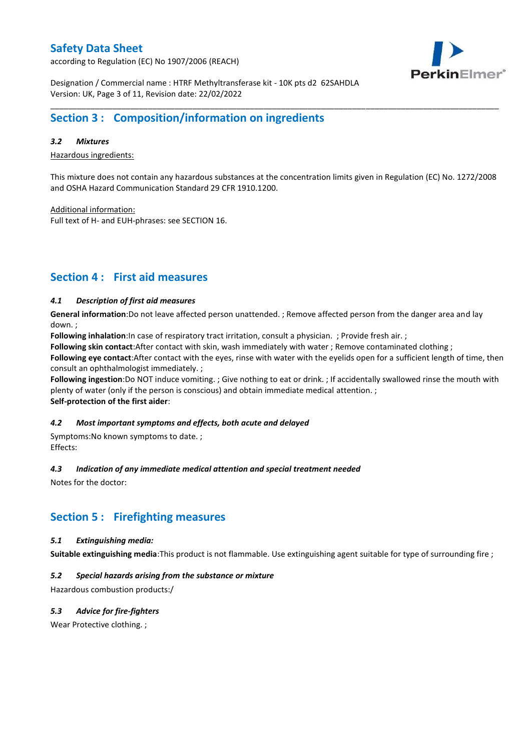according to Regulation (EC) No 1907/2006 (REACH)



Designation / Commercial name : HTRF Methyltransferase kit - 10K pts d2 62SAHDLA Version: UK, Page 3 of 11, Revision date: 22/02/2022

## **Section 3 : Composition/information on ingredients**

#### *3.2 Mixtures*

Hazardous ingredients:

This mixture does not contain any hazardous substances at the concentration limits given in Regulation (EC) No. 1272/2008 and OSHA Hazard Communication Standard 29 CFR 1910.1200.

\_\_\_\_\_\_\_\_\_\_\_\_\_\_\_\_\_\_\_\_\_\_\_\_\_\_\_\_\_\_\_\_\_\_\_\_\_\_\_\_\_\_\_\_\_\_\_\_\_\_\_\_\_\_\_\_\_\_\_\_\_\_\_\_\_\_\_\_\_\_\_\_\_\_\_\_\_\_\_\_\_\_\_\_\_\_\_\_\_\_\_\_\_\_\_\_\_\_\_\_\_

Additional information:

Full text of H- and EUH-phrases: see SECTION 16.

## **Section 4 : First aid measures**

### *4.1 Description of first aid measures*

**General information**:Do not leave affected person unattended. ; Remove affected person from the danger area and lay down. ;

**Following inhalation**:In case of respiratory tract irritation, consult a physician. ; Provide fresh air. ;

**Following skin contact**:After contact with skin, wash immediately with water ; Remove contaminated clothing ;

**Following eye contact**:After contact with the eyes, rinse with water with the eyelids open for a sufficient length of time, then consult an ophthalmologist immediately. ;

**Following ingestion**:Do NOT induce vomiting. ; Give nothing to eat or drink. ; If accidentally swallowed rinse the mouth with plenty of water (only if the person is conscious) and obtain immediate medical attention. ; **Self-protection of the first aider**:

#### *4.2 Most important symptoms and effects, both acute and delayed*

Symptoms:No known symptoms to date. ; Effects:

#### *4.3 Indication of any immediate medical attention and special treatment needed*

Notes for the doctor:

## **Section 5 : Firefighting measures**

#### *5.1 Extinguishing media:*

**Suitable extinguishing media**:This product is not flammable. Use extinguishing agent suitable for type of surrounding fire ;

### *5.2 Special hazards arising from the substance or mixture*

Hazardous combustion products:/

### *5.3 Advice for fire-fighters*

Wear Protective clothing.;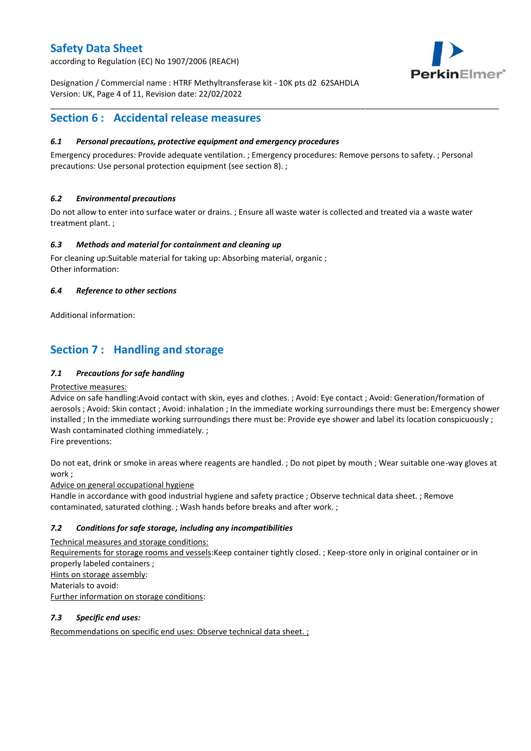according to Regulation (EC) No 1907/2006 (REACH)



Designation / Commercial name : HTRF Methyltransferase kit - 10K pts d2 62SAHDLA Version: UK, Page 4 of 11, Revision date: 22/02/2022

## **Section 6 : Accidental release measures**

### *6.1 Personal precautions, protective equipment and emergency procedures*

Emergency procedures: Provide adequate ventilation. ; Emergency procedures: Remove persons to safety. ; Personal precautions: Use personal protection equipment (see section 8). ;

\_\_\_\_\_\_\_\_\_\_\_\_\_\_\_\_\_\_\_\_\_\_\_\_\_\_\_\_\_\_\_\_\_\_\_\_\_\_\_\_\_\_\_\_\_\_\_\_\_\_\_\_\_\_\_\_\_\_\_\_\_\_\_\_\_\_\_\_\_\_\_\_\_\_\_\_\_\_\_\_\_\_\_\_\_\_\_\_\_\_\_\_\_\_\_\_\_\_\_\_\_

### *6.2 Environmental precautions*

Do not allow to enter into surface water or drains. ; Ensure all waste water is collected and treated via a waste water treatment plant. ;

### *6.3 Methods and material for containment and cleaning up*

For cleaning up:Suitable material for taking up: Absorbing material, organic ; Other information:

### *6.4 Reference to other sections*

Additional information:

## **Section 7 : Handling and storage**

### *7.1 Precautions for safe handling*

#### Protective measures:

Advice on safe handling:Avoid contact with skin, eyes and clothes. ; Avoid: Eye contact ; Avoid: Generation/formation of aerosols ; Avoid: Skin contact ; Avoid: inhalation ; In the immediate working surroundings there must be: Emergency shower installed ; In the immediate working surroundings there must be: Provide eye shower and label its location conspicuously ; Wash contaminated clothing immediately. ;

Fire preventions:

Do not eat, drink or smoke in areas where reagents are handled. ; Do not pipet by mouth ; Wear suitable one-way gloves at work ;

Advice on general occupational hygiene

Handle in accordance with good industrial hygiene and safety practice ; Observe technical data sheet. ; Remove contaminated, saturated clothing. ; Wash hands before breaks and after work. ;

### *7.2 Conditions for safe storage, including any incompatibilities*

Technical measures and storage conditions: Requirements for storage rooms and vessels:Keep container tightly closed. ; Keep-store only in original container or in properly labeled containers ; Hints on storage assembly: Materials to avoid: Further information on storage conditions:

### *7.3 Specific end uses:*

Recommendations on specific end uses: Observe technical data sheet. ;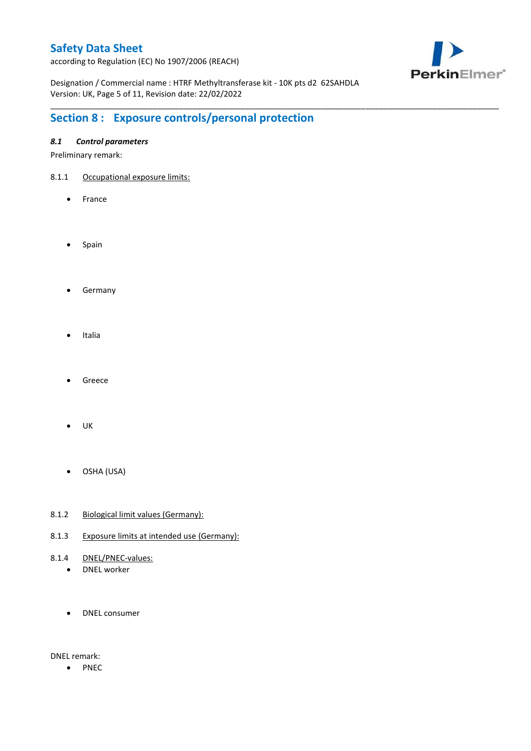according to Regulation (EC) No 1907/2006 (REACH)



Designation / Commercial name : HTRF Methyltransferase kit - 10K pts d2 62SAHDLA Version: UK, Page 5 of 11, Revision date: 22/02/2022

\_\_\_\_\_\_\_\_\_\_\_\_\_\_\_\_\_\_\_\_\_\_\_\_\_\_\_\_\_\_\_\_\_\_\_\_\_\_\_\_\_\_\_\_\_\_\_\_\_\_\_\_\_\_\_\_\_\_\_\_\_\_\_\_\_\_\_\_\_\_\_\_\_\_\_\_\_\_\_\_\_\_\_\_\_\_\_\_\_\_\_\_\_\_\_\_\_\_\_\_\_

# **Section 8 : Exposure controls/personal protection**

### *8.1 Control parameters*

Preliminary remark:

- 8.1.1 Occupational exposure limits:
	- France
	- Spain
	- **•** Germany
	- Italia
	- Greece
	- $\bullet$  UK
	- OSHA (USA)
- 8.1.2 Biological limit values (Germany):
- 8.1.3 Exposure limits at intended use (Germany):
- 8.1.4 DNEL/PNEC-values:
	- DNEL worker
	- DNEL consumer

DNEL remark:

• PNEC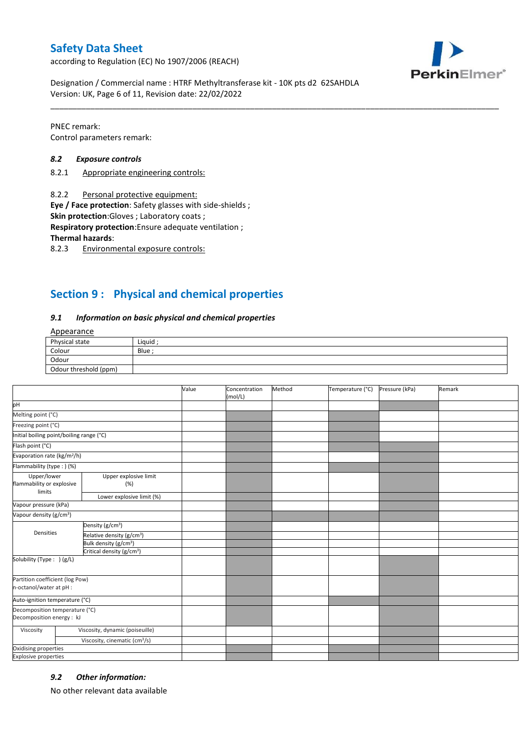according to Regulation (EC) No 1907/2006 (REACH)



Designation / Commercial name : HTRF Methyltransferase kit - 10K pts d2 62SAHDLA Version: UK, Page 6 of 11, Revision date: 22/02/2022

PNEC remark: Control parameters remark:

#### *8.2 Exposure controls*

- 8.2.1 Appropriate engineering controls:
- 8.2.2 Personal protective equipment:

**Eye / Face protection**: Safety glasses with side-shields ;

**Skin protection**:Gloves ; Laboratory coats ;

**Respiratory protection**:Ensure adequate ventilation ;

**Thermal hazards**:

8.2.3 Environmental exposure controls:

## **Section 9 : Physical and chemical properties**

#### *9.1 Information on basic physical and chemical properties*

### Appearance

| Physical state        | Liauid |
|-----------------------|--------|
| Colour                | Blue   |
| Odour                 |        |
| Odour threshold (ppm) |        |

\_\_\_\_\_\_\_\_\_\_\_\_\_\_\_\_\_\_\_\_\_\_\_\_\_\_\_\_\_\_\_\_\_\_\_\_\_\_\_\_\_\_\_\_\_\_\_\_\_\_\_\_\_\_\_\_\_\_\_\_\_\_\_\_\_\_\_\_\_\_\_\_\_\_\_\_\_\_\_\_\_\_\_\_\_\_\_\_\_\_\_\_\_\_\_\_\_\_\_\_\_

|                                                             |                                           | Value | Concentration<br>(mol/L) | Method | Temperature (°C) | Pressure (kPa) | Remark |
|-------------------------------------------------------------|-------------------------------------------|-------|--------------------------|--------|------------------|----------------|--------|
| pH                                                          |                                           |       |                          |        |                  |                |        |
| Melting point (°C)                                          |                                           |       |                          |        |                  |                |        |
| Freezing point (°C)                                         |                                           |       |                          |        |                  |                |        |
| Initial boiling point/boiling range (°C)                    |                                           |       |                          |        |                  |                |        |
| Flash point (°C)                                            |                                           |       |                          |        |                  |                |        |
| Evaporation rate (kg/m <sup>2</sup> /h)                     |                                           |       |                          |        |                  |                |        |
| Flammability (type: ) (%)                                   |                                           |       |                          |        |                  |                |        |
| Upper/lower<br>flammability or explosive<br>limits          | Upper explosive limit<br>(%)              |       |                          |        |                  |                |        |
|                                                             | Lower explosive limit (%)                 |       |                          |        |                  |                |        |
| Vapour pressure (kPa)                                       |                                           |       |                          |        |                  |                |        |
| Vapour density (g/cm <sup>3</sup> )                         |                                           |       |                          |        |                  |                |        |
| Densities                                                   | Density (g/cm <sup>3</sup> )              |       |                          |        |                  |                |        |
|                                                             | Relative density (g/cm <sup>3</sup> )     |       |                          |        |                  |                |        |
|                                                             | Bulk density (g/cm <sup>3</sup> )         |       |                          |        |                  |                |        |
|                                                             | Critical density (g/cm <sup>3</sup> )     |       |                          |        |                  |                |        |
| Solubility (Type: ) (g/L)                                   |                                           |       |                          |        |                  |                |        |
| Partition coefficient (log Pow)<br>n-octanol/water at pH :  |                                           |       |                          |        |                  |                |        |
| Auto-ignition temperature (°C)                              |                                           |       |                          |        |                  |                |        |
| Decomposition temperature (°C)<br>Decomposition energy : kJ |                                           |       |                          |        |                  |                |        |
| Viscosity                                                   | Viscosity, dynamic (poiseuille)           |       |                          |        |                  |                |        |
|                                                             | Viscosity, cinematic (cm <sup>3</sup> /s) |       |                          |        |                  |                |        |
| Oxidising properties                                        |                                           |       |                          |        |                  |                |        |
| <b>Explosive properties</b>                                 |                                           |       |                          |        |                  |                |        |

#### *9.2 Other information:*

No other relevant data available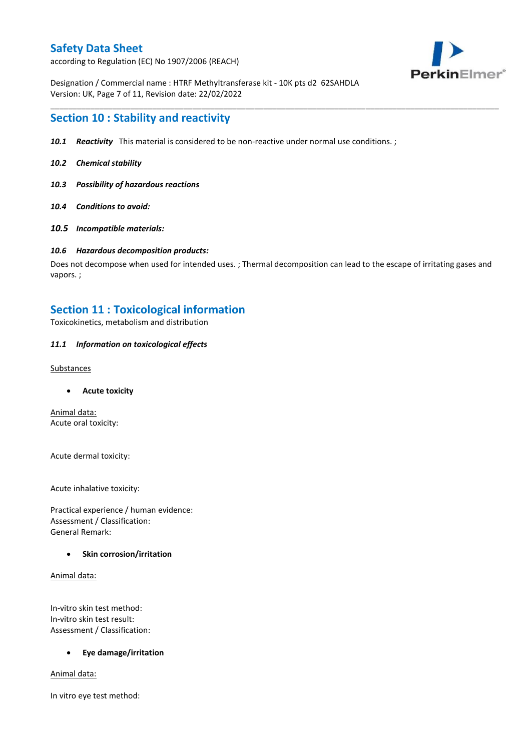according to Regulation (EC) No 1907/2006 (REACH)



Designation / Commercial name : HTRF Methyltransferase kit - 10K pts d2 62SAHDLA Version: UK, Page 7 of 11, Revision date: 22/02/2022

## **Section 10 : Stability and reactivity**

- *10.1 Reactivity* This material is considered to be non-reactive under normal use conditions. ;
- *10.2 Chemical stability*
- *10.3 Possibility of hazardous reactions*
- *10.4 Conditions to avoid:*
- *10.5 Incompatible materials:*

#### *10.6 Hazardous decomposition products:*

Does not decompose when used for intended uses. ; Thermal decomposition can lead to the escape of irritating gases and vapors. ;

\_\_\_\_\_\_\_\_\_\_\_\_\_\_\_\_\_\_\_\_\_\_\_\_\_\_\_\_\_\_\_\_\_\_\_\_\_\_\_\_\_\_\_\_\_\_\_\_\_\_\_\_\_\_\_\_\_\_\_\_\_\_\_\_\_\_\_\_\_\_\_\_\_\_\_\_\_\_\_\_\_\_\_\_\_\_\_\_\_\_\_\_\_\_\_\_\_\_\_\_\_

## **Section 11 : Toxicological information**

Toxicokinetics, metabolism and distribution

#### *11.1 Information on toxicological effects*

#### **Substances**

**Acute toxicity**

Animal data: Acute oral toxicity:

Acute dermal toxicity:

Acute inhalative toxicity:

Practical experience / human evidence: Assessment / Classification: General Remark:

#### **Skin corrosion/irritation**

Animal data:

In-vitro skin test method: In-vitro skin test result: Assessment / Classification:

#### **Eye damage/irritation**

Animal data:

In vitro eye test method: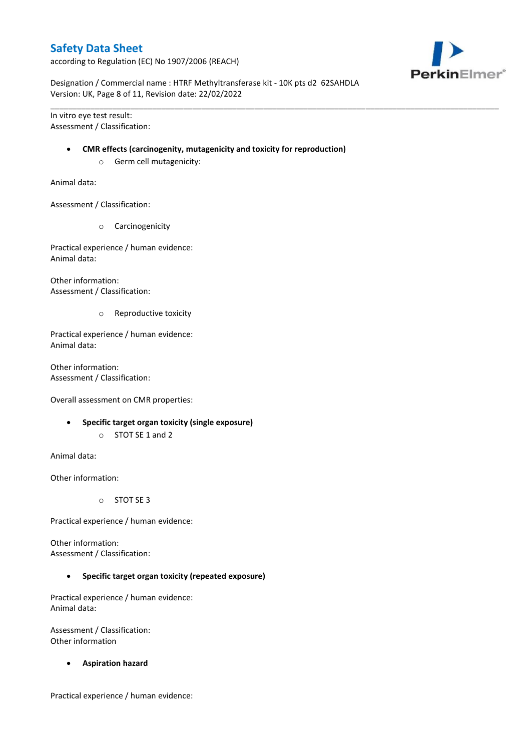according to Regulation (EC) No 1907/2006 (REACH)



Designation / Commercial name : HTRF Methyltransferase kit - 10K pts d2 62SAHDLA Version: UK, Page 8 of 11, Revision date: 22/02/2022

\_\_\_\_\_\_\_\_\_\_\_\_\_\_\_\_\_\_\_\_\_\_\_\_\_\_\_\_\_\_\_\_\_\_\_\_\_\_\_\_\_\_\_\_\_\_\_\_\_\_\_\_\_\_\_\_\_\_\_\_\_\_\_\_\_\_\_\_\_\_\_\_\_\_\_\_\_\_\_\_\_\_\_\_\_\_\_\_\_\_\_\_\_\_\_\_\_\_\_\_\_

In vitro eye test result: Assessment / Classification:

#### **CMR effects (carcinogenity, mutagenicity and toxicity for reproduction)**

o Germ cell mutagenicity:

Animal data:

Assessment / Classification:

o Carcinogenicity

Practical experience / human evidence: Animal data:

Other information: Assessment / Classification:

o Reproductive toxicity

Practical experience / human evidence: Animal data:

Other information: Assessment / Classification:

Overall assessment on CMR properties:

- **Specific target organ toxicity (single exposure)**
	- o STOT SE 1 and 2

Animal data:

Other information:

o STOT SE 3

Practical experience / human evidence:

Other information: Assessment / Classification:

**Specific target organ toxicity (repeated exposure)**

Practical experience / human evidence: Animal data:

Assessment / Classification: Other information

**Aspiration hazard**

Practical experience / human evidence: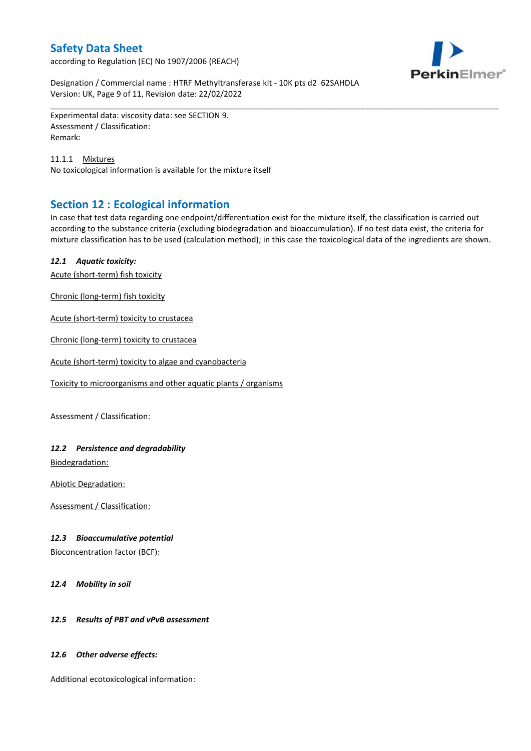according to Regulation (EC) No 1907/2006 (REACH)



Designation / Commercial name : HTRF Methyltransferase kit - 10K pts d2 62SAHDLA Version: UK, Page 9 of 11, Revision date: 22/02/2022

Experimental data: viscosity data: see SECTION 9. Assessment / Classification: Remark:

11.1.1 Mixtures No toxicological information is available for the mixture itself

## **Section 12 : Ecological information**

In case that test data regarding one endpoint/differentiation exist for the mixture itself, the classification is carried out according to the substance criteria (excluding biodegradation and bioaccumulation). If no test data exist, the criteria for mixture classification has to be used (calculation method); in this case the toxicological data of the ingredients are shown.

\_\_\_\_\_\_\_\_\_\_\_\_\_\_\_\_\_\_\_\_\_\_\_\_\_\_\_\_\_\_\_\_\_\_\_\_\_\_\_\_\_\_\_\_\_\_\_\_\_\_\_\_\_\_\_\_\_\_\_\_\_\_\_\_\_\_\_\_\_\_\_\_\_\_\_\_\_\_\_\_\_\_\_\_\_\_\_\_\_\_\_\_\_\_\_\_\_\_\_\_\_

### *12.1 Aquatic toxicity:*

Acute (short-term) fish toxicity

Chronic (long-term) fish toxicity

Acute (short-term) toxicity to crustacea

Chronic (long-term) toxicity to crustacea

Acute (short-term) toxicity to algae and cyanobacteria

Toxicity to microorganisms and other aquatic plants / organisms

Assessment / Classification:

### *12.2 Persistence and degradability*

Biodegradation:

Abiotic Degradation:

Assessment / Classification:

### *12.3 Bioaccumulative potential*

Bioconcentration factor (BCF):

*12.4 Mobility in soil*

### *12.5 Results of PBT and vPvB assessment*

### *12.6 Other adverse effects:*

Additional ecotoxicological information: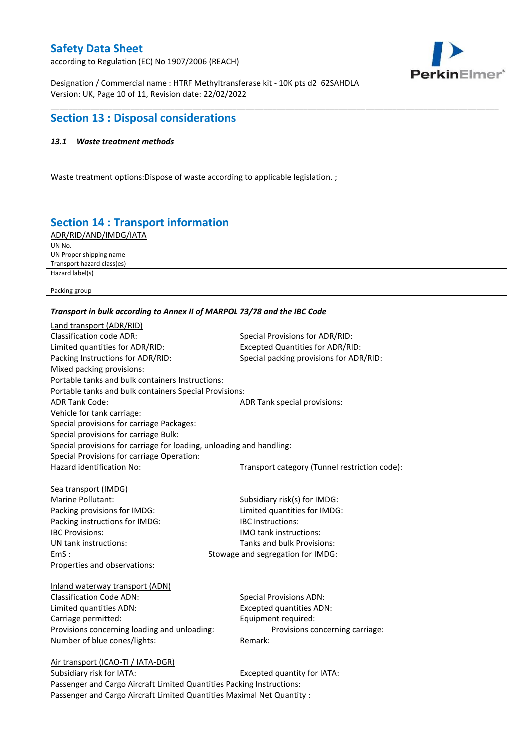according to Regulation (EC) No 1907/2006 (REACH)



Designation / Commercial name : HTRF Methyltransferase kit - 10K pts d2 62SAHDLA Version: UK, Page 10 of 11, Revision date: 22/02/2022

## **Section 13 : Disposal considerations**

### *13.1 Waste treatment methods*

Waste treatment options:Dispose of waste according to applicable legislation. ;

# **Section 14 : Transport information**

ADR/RID/AND/IMDG/IATA

| UN No.                     |  |
|----------------------------|--|
| UN Proper shipping name    |  |
| Transport hazard class(es) |  |
| Hazard label(s)            |  |
|                            |  |
| Packing group              |  |

\_\_\_\_\_\_\_\_\_\_\_\_\_\_\_\_\_\_\_\_\_\_\_\_\_\_\_\_\_\_\_\_\_\_\_\_\_\_\_\_\_\_\_\_\_\_\_\_\_\_\_\_\_\_\_\_\_\_\_\_\_\_\_\_\_\_\_\_\_\_\_\_\_\_\_\_\_\_\_\_\_\_\_\_\_\_\_\_\_\_\_\_\_\_\_\_\_\_\_\_\_

#### *Transport in bulk according to Annex II of MARPOL 73/78 and the IBC Code*

| Land transport (ADR/RID)                                             |                                               |
|----------------------------------------------------------------------|-----------------------------------------------|
| <b>Classification code ADR:</b>                                      | Special Provisions for ADR/RID:               |
| Limited quantities for ADR/RID:                                      | <b>Excepted Quantities for ADR/RID:</b>       |
| Packing Instructions for ADR/RID:                                    | Special packing provisions for ADR/RID:       |
| Mixed packing provisions:                                            |                                               |
| Portable tanks and bulk containers Instructions:                     |                                               |
| Portable tanks and bulk containers Special Provisions:               |                                               |
| <b>ADR Tank Code:</b>                                                | ADR Tank special provisions:                  |
| Vehicle for tank carriage:                                           |                                               |
| Special provisions for carriage Packages:                            |                                               |
| Special provisions for carriage Bulk:                                |                                               |
| Special provisions for carriage for loading, unloading and handling: |                                               |
| Special Provisions for carriage Operation:                           |                                               |
| Hazard identification No:                                            | Transport category (Tunnel restriction code): |
|                                                                      |                                               |
| Sea transport (IMDG)                                                 |                                               |
| Marine Pollutant:                                                    | Subsidiary risk(s) for IMDG:                  |
| Packing provisions for IMDG:                                         | Limited quantities for IMDG:                  |
| Packing instructions for IMDG:                                       | IBC Instructions:                             |
| <b>IBC Provisions:</b>                                               | <b>IMO</b> tank instructions:                 |
| UN tank instructions:                                                | Tanks and bulk Provisions:                    |
| EmS:                                                                 | Stowage and segregation for IMDG:             |
| Properties and observations:                                         |                                               |
| Inland waterway transport (ADN)                                      |                                               |
| <b>Classification Code ADN:</b>                                      | <b>Special Provisions ADN:</b>                |
| Limited quantities ADN:                                              | <b>Excepted quantities ADN:</b>               |
| Carriage permitted:                                                  | Equipment required:                           |
| Provisions concerning loading and unloading:                         | Provisions concerning carriage:               |
| Number of blue cones/lights:                                         | Remark:                                       |
|                                                                      |                                               |
| Air transport (ICAO-TI / IATA-DGR)                                   |                                               |
| Suhsidiary risk for IATA·                                            | Excepted quantity for $IATA$ .                |

Subsidiary risk for IATA: Excepted quantity for IATA: Passenger and Cargo Aircraft Limited Quantities Packing Instructions: Passenger and Cargo Aircraft Limited Quantities Maximal Net Quantity :